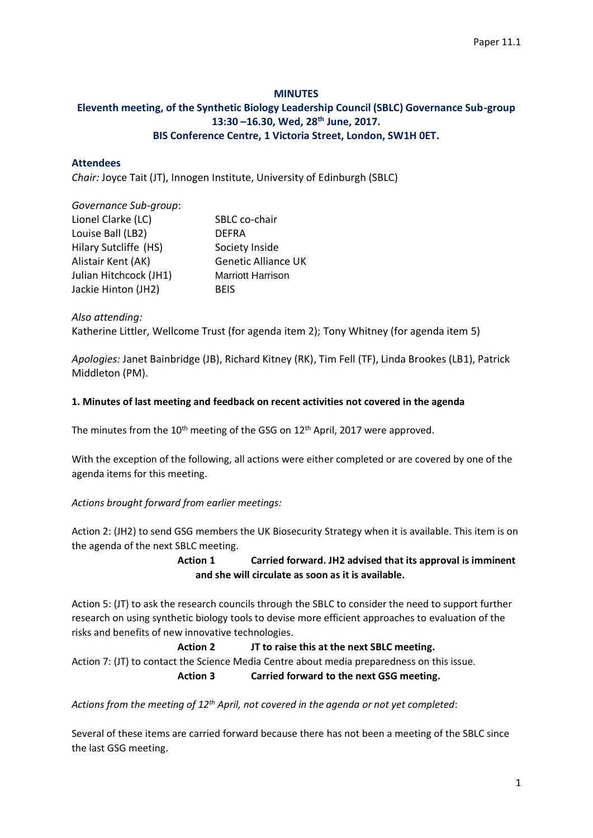# **MINUTES**

# **Eleventh meeting, of the Synthetic Biology Leadership Council (SBLC) Governance Sub-group 13:30 –16.30, Wed, 28th June, 2017. BIS Conference Centre, 1 Victoria Street, London, SW1H 0ET.**

#### **Attendees**

*Chair:* Joyce Tait (JT), Innogen Institute, University of Edinburgh (SBLC)

## *Governance Sub-group*:

| Lionel Clarke (LC)     | SBLC co-chair              |
|------------------------|----------------------------|
| Louise Ball (LB2)      | <b>DEFRA</b>               |
| Hilary Sutcliffe (HS)  | Society Inside             |
| Alistair Kent (AK)     | <b>Genetic Alliance UK</b> |
| Julian Hitchcock (JH1) | <b>Marriott Harrison</b>   |
| Jackie Hinton (JH2)    | <b>BEIS</b>                |

*Also attending:*

Katherine Littler, Wellcome Trust (for agenda item 2); Tony Whitney (for agenda item 5)

*Apologies:* Janet Bainbridge (JB), Richard Kitney (RK), Tim Fell (TF), Linda Brookes (LB1), Patrick Middleton (PM).

### **1. Minutes of last meeting and feedback on recent activities not covered in the agenda**

The minutes from the 10<sup>th</sup> meeting of the GSG on 12<sup>th</sup> April, 2017 were approved.

With the exception of the following, all actions were either completed or are covered by one of the agenda items for this meeting.

# *Actions brought forward from earlier meetings:*

Action 2: (JH2) to send GSG members the UK Biosecurity Strategy when it is available. This item is on the agenda of the next SBLC meeting.

# **Action 1 Carried forward. JH2 advised that its approval is imminent and she will circulate as soon as it is available.**

Action 5: (JT) to ask the research councils through the SBLC to consider the need to support further research on using synthetic biology tools to devise more efficient approaches to evaluation of the risks and benefits of new innovative technologies.

#### **Action 2 JT to raise this at the next SBLC meeting.**

Action 7: (JT) to contact the Science Media Centre about media preparedness on this issue. **Action 3 Carried forward to the next GSG meeting.**

*Actions from the meeting of 12th April, not covered in the agenda or not yet completed*:

Several of these items are carried forward because there has not been a meeting of the SBLC since the last GSG meeting.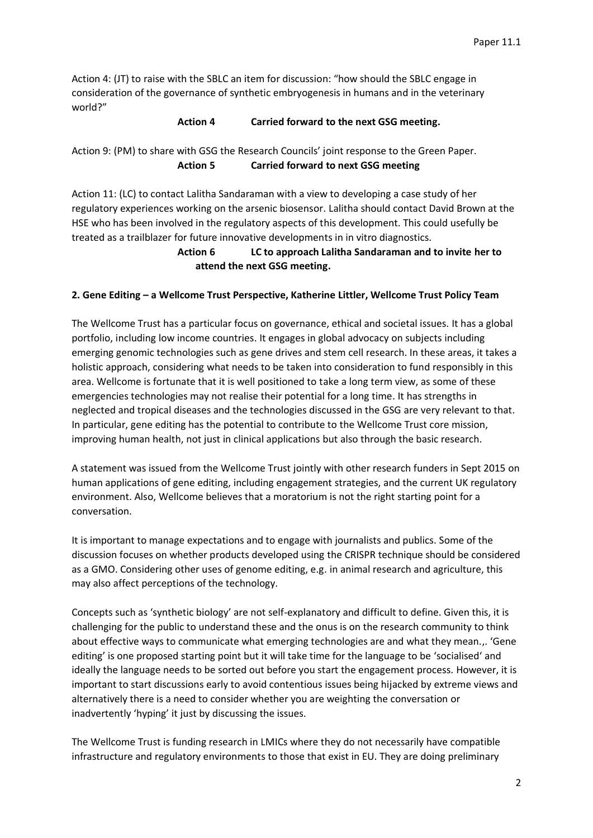Action 4: (JT) to raise with the SBLC an item for discussion: "how should the SBLC engage in consideration of the governance of synthetic embryogenesis in humans and in the veterinary world?"

#### **Action 4 Carried forward to the next GSG meeting.**

Action 9: (PM) to share with GSG the Research Councils' joint response to the Green Paper. **Action 5 Carried forward to next GSG meeting**

Action 11: (LC) to contact Lalitha Sandaraman with a view to developing a case study of her regulatory experiences working on the arsenic biosensor. Lalitha should contact David Brown at the HSE who has been involved in the regulatory aspects of this development. This could usefully be treated as a trailblazer for future innovative developments in in vitro diagnostics.

> **Action 6 LC to approach Lalitha Sandaraman and to invite her to attend the next GSG meeting.**

### **2. Gene Editing – a Wellcome Trust Perspective, Katherine Littler, Wellcome Trust Policy Team**

The Wellcome Trust has a particular focus on governance, ethical and societal issues. It has a global portfolio, including low income countries. It engages in global advocacy on subjects including emerging genomic technologies such as gene drives and stem cell research. In these areas, it takes a holistic approach, considering what needs to be taken into consideration to fund responsibly in this area. Wellcome is fortunate that it is well positioned to take a long term view, as some of these emergencies technologies may not realise their potential for a long time. It has strengths in neglected and tropical diseases and the technologies discussed in the GSG are very relevant to that. In particular, gene editing has the potential to contribute to the Wellcome Trust core mission, improving human health, not just in clinical applications but also through the basic research.

A statement was issued from the Wellcome Trust jointly with other research funders in Sept 2015 on human applications of gene editing, including engagement strategies, and the current UK regulatory environment. Also, Wellcome believes that a moratorium is not the right starting point for a conversation.

It is important to manage expectations and to engage with journalists and publics. Some of the discussion focuses on whether products developed using the CRISPR technique should be considered as a GMO. Considering other uses of genome editing, e.g. in animal research and agriculture, this may also affect perceptions of the technology.

Concepts such as 'synthetic biology' are not self-explanatory and difficult to define. Given this, it is challenging for the public to understand these and the onus is on the research community to think about effective ways to communicate what emerging technologies are and what they mean.,. 'Gene editing' is one proposed starting point but it will take time for the language to be 'socialised' and ideally the language needs to be sorted out before you start the engagement process. However, it is important to start discussions early to avoid contentious issues being hijacked by extreme views and alternatively there is a need to consider whether you are weighting the conversation or inadvertently 'hyping' it just by discussing the issues.

The Wellcome Trust is funding research in LMICs where they do not necessarily have compatible infrastructure and regulatory environments to those that exist in EU. They are doing preliminary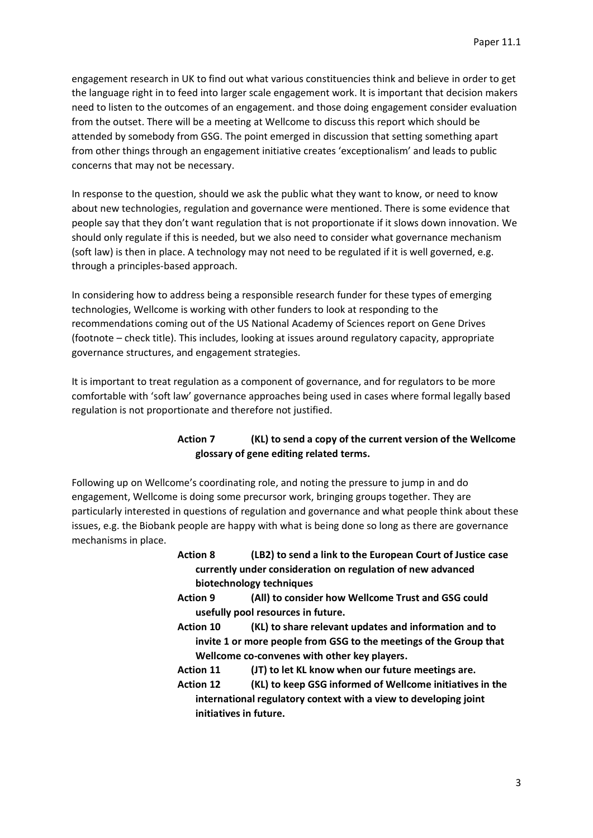engagement research in UK to find out what various constituencies think and believe in order to get the language right in to feed into larger scale engagement work. It is important that decision makers need to listen to the outcomes of an engagement. and those doing engagement consider evaluation from the outset. There will be a meeting at Wellcome to discuss this report which should be attended by somebody from GSG. The point emerged in discussion that setting something apart from other things through an engagement initiative creates 'exceptionalism' and leads to public concerns that may not be necessary.

In response to the question, should we ask the public what they want to know, or need to know about new technologies, regulation and governance were mentioned. There is some evidence that people say that they don't want regulation that is not proportionate if it slows down innovation. We should only regulate if this is needed, but we also need to consider what governance mechanism (soft law) is then in place. A technology may not need to be regulated if it is well governed, e.g. through a principles-based approach.

In considering how to address being a responsible research funder for these types of emerging technologies, Wellcome is working with other funders to look at responding to the recommendations coming out of the US National Academy of Sciences report on Gene Drives (footnote – check title). This includes, looking at issues around regulatory capacity, appropriate governance structures, and engagement strategies.

It is important to treat regulation as a component of governance, and for regulators to be more comfortable with 'soft law' governance approaches being used in cases where formal legally based regulation is not proportionate and therefore not justified.

# **Action 7 (KL) to send a copy of the current version of the Wellcome glossary of gene editing related terms.**

Following up on Wellcome's coordinating role, and noting the pressure to jump in and do engagement, Wellcome is doing some precursor work, bringing groups together. They are particularly interested in questions of regulation and governance and what people think about these issues, e.g. the Biobank people are happy with what is being done so long as there are governance mechanisms in place.

- **Action 8 (LB2) to send a link to the European Court of Justice case currently under consideration on regulation of new advanced biotechnology techniques**
- **Action 9 (All) to consider how Wellcome Trust and GSG could usefully pool resources in future.**
- **Action 10 (KL) to share relevant updates and information and to invite 1 or more people from GSG to the meetings of the Group that Wellcome co-convenes with other key players.**
- **Action 11 (JT) to let KL know when our future meetings are.**
- **Action 12 (KL) to keep GSG informed of Wellcome initiatives in the international regulatory context with a view to developing joint initiatives in future.**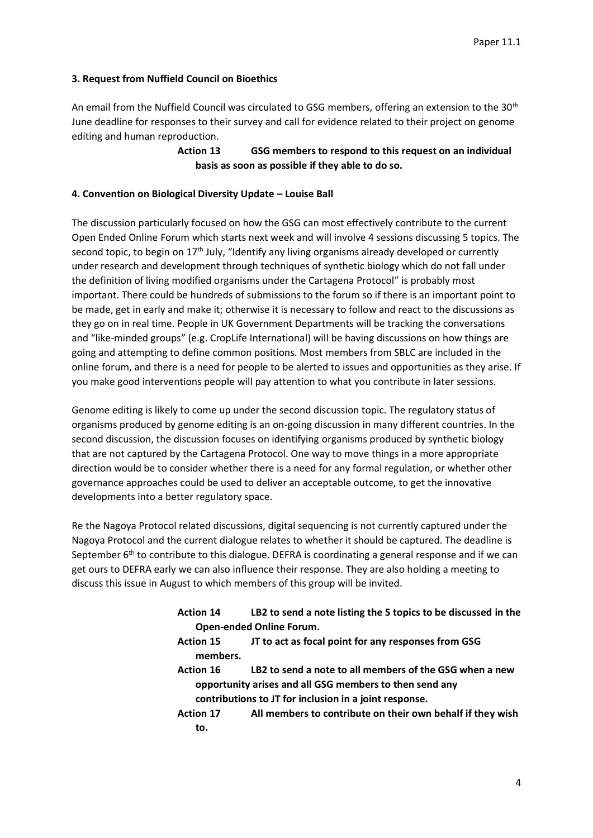### **3. Request from Nuffield Council on Bioethics**

An email from the Nuffield Council was circulated to GSG members, offering an extension to the 30<sup>th</sup> June deadline for responses to their survey and call for evidence related to their project on genome editing and human reproduction.

> **Action 13 GSG members to respond to this request on an individual basis as soon as possible if they able to do so.**

#### **4. Convention on Biological Diversity Update – Louise Ball**

The discussion particularly focused on how the GSG can most effectively contribute to the current Open Ended Online Forum which starts next week and will involve 4 sessions discussing 5 topics. The second topic, to begin on 17<sup>th</sup> July, "Identify any living organisms already developed or currently under research and development through techniques of synthetic biology which do not fall under the definition of living modified organisms under the Cartagena Protocol" is probably most important. There could be hundreds of submissions to the forum so if there is an important point to be made, get in early and make it; otherwise it is necessary to follow and react to the discussions as they go on in real time. People in UK Government Departments will be tracking the conversations and "like-minded groups" (e.g. CropLife International) will be having discussions on how things are going and attempting to define common positions. Most members from SBLC are included in the online forum, and there is a need for people to be alerted to issues and opportunities as they arise. If you make good interventions people will pay attention to what you contribute in later sessions.

Genome editing is likely to come up under the second discussion topic. The regulatory status of organisms produced by genome editing is an on-going discussion in many different countries. In the second discussion, the discussion focuses on identifying organisms produced by synthetic biology that are not captured by the Cartagena Protocol. One way to move things in a more appropriate direction would be to consider whether there is a need for any formal regulation, or whether other governance approaches could be used to deliver an acceptable outcome, to get the innovative developments into a better regulatory space.

Re the Nagoya Protocol related discussions, digital sequencing is not currently captured under the Nagoya Protocol and the current dialogue relates to whether it should be captured. The deadline is September  $6<sup>th</sup>$  to contribute to this dialogue. DEFRA is coordinating a general response and if we can get ours to DEFRA early we can also influence their response. They are also holding a meeting to discuss this issue in August to which members of this group will be invited.

| <b>Action 14</b> | LB2 to send a note listing the 5 topics to be discussed in the |
|------------------|----------------------------------------------------------------|
|                  | <b>Open-ended Online Forum.</b>                                |
| <b>Action 15</b> | JT to act as focal point for any responses from GSG            |
| members.         |                                                                |
| <b>Action 16</b> | LB2 to send a note to all members of the GSG when a new        |
|                  | opportunity arises and all GSG members to then send any        |
|                  | contributions to JT for inclusion in a joint response.         |
| <b>Action 17</b> | All members to contribute on their own behalf if they wish     |
| to.              |                                                                |
|                  |                                                                |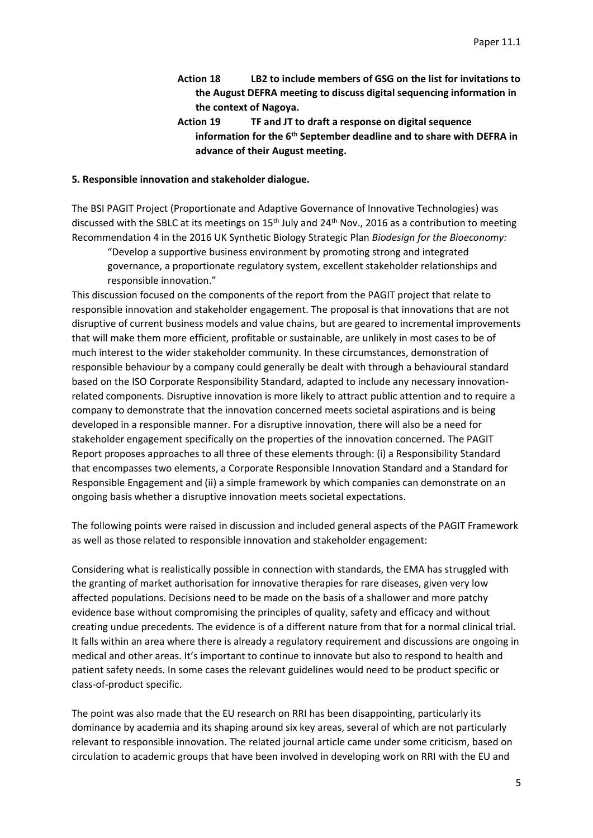- **Action 18 LB2 to include members of GSG on the list for invitations to the August DEFRA meeting to discuss digital sequencing information in the context of Nagoya.**
- **Action 19 TF and JT to draft a response on digital sequence information for the 6th September deadline and to share with DEFRA in advance of their August meeting.**

#### **5. Responsible innovation and stakeholder dialogue.**

The BSI PAGIT Project (Proportionate and Adaptive Governance of Innovative Technologies) was discussed with the SBLC at its meetings on 15<sup>th</sup> July and 24<sup>th</sup> Nov., 2016 as a contribution to meeting Recommendation 4 in the 2016 UK Synthetic Biology Strategic Plan *Biodesign for the Bioeconomy:* 

"Develop a supportive business environment by promoting strong and integrated governance, a proportionate regulatory system, excellent stakeholder relationships and responsible innovation."

This discussion focused on the components of the report from the PAGIT project that relate to responsible innovation and stakeholder engagement. The proposal is that innovations that are not disruptive of current business models and value chains, but are geared to incremental improvements that will make them more efficient, profitable or sustainable, are unlikely in most cases to be of much interest to the wider stakeholder community. In these circumstances, demonstration of responsible behaviour by a company could generally be dealt with through a behavioural standard based on the ISO Corporate Responsibility Standard, adapted to include any necessary innovationrelated components. Disruptive innovation is more likely to attract public attention and to require a company to demonstrate that the innovation concerned meets societal aspirations and is being developed in a responsible manner. For a disruptive innovation, there will also be a need for stakeholder engagement specifically on the properties of the innovation concerned. The PAGIT Report proposes approaches to all three of these elements through: (i) a Responsibility Standard that encompasses two elements, a Corporate Responsible Innovation Standard and a Standard for Responsible Engagement and (ii) a simple framework by which companies can demonstrate on an ongoing basis whether a disruptive innovation meets societal expectations.

The following points were raised in discussion and included general aspects of the PAGIT Framework as well as those related to responsible innovation and stakeholder engagement:

Considering what is realistically possible in connection with standards, the EMA has struggled with the granting of market authorisation for innovative therapies for rare diseases, given very low affected populations. Decisions need to be made on the basis of a shallower and more patchy evidence base without compromising the principles of quality, safety and efficacy and without creating undue precedents. The evidence is of a different nature from that for a normal clinical trial. It falls within an area where there is already a regulatory requirement and discussions are ongoing in medical and other areas. It's important to continue to innovate but also to respond to health and patient safety needs. In some cases the relevant guidelines would need to be product specific or class-of-product specific.

The point was also made that the EU research on RRI has been disappointing, particularly its dominance by academia and its shaping around six key areas, several of which are not particularly relevant to responsible innovation. The related journal article came under some criticism, based on circulation to academic groups that have been involved in developing work on RRI with the EU and